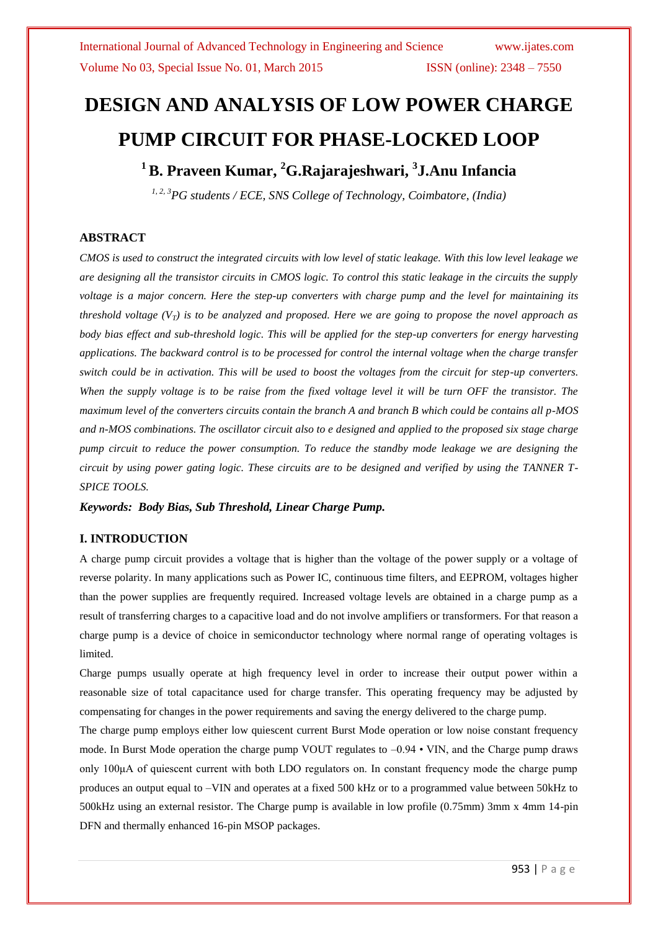# **DESIGN AND ANALYSIS OF LOW POWER CHARGE PUMP CIRCUIT FOR PHASE-LOCKED LOOP**

**<sup>1</sup>B. Praveen Kumar, <sup>2</sup>G.Rajarajeshwari, 3 J.Anu Infancia**

*1, 2, 3PG students / ECE, SNS College of Technology, Coimbatore, (India)*

### **ABSTRACT**

*CMOS is used to construct the integrated circuits with low level of static leakage. With this low level leakage we are designing all the transistor circuits in CMOS logic. To control this static leakage in the circuits the supply voltage is a major concern. Here the step-up converters with charge pump and the level for maintaining its threshold voltage (VT) is to be analyzed and proposed. Here we are going to propose the novel approach as body bias effect and sub-threshold logic. This will be applied for the step-up converters for energy harvesting applications. The backward control is to be processed for control the internal voltage when the charge transfer switch could be in activation. This will be used to boost the voltages from the circuit for step-up converters. When the supply voltage is to be raise from the fixed voltage level it will be turn OFF the transistor. The maximum level of the converters circuits contain the branch A and branch B which could be contains all p-MOS and n-MOS combinations. The oscillator circuit also to e designed and applied to the proposed six stage charge pump circuit to reduce the power consumption. To reduce the standby mode leakage we are designing the circuit by using power gating logic. These circuits are to be designed and verified by using the TANNER T-SPICE TOOLS.* 

*Keywords: Body Bias, Sub Threshold, Linear Charge Pump.*

### **I. INTRODUCTION**

A charge pump circuit provides a voltage that is higher than the voltage of the power supply or a voltage of reverse polarity. In many applications such as Power IC, continuous time filters, and EEPROM, voltages higher than the power supplies are frequently required. Increased voltage levels are obtained in a charge pump as a result of transferring charges to a capacitive load and do not involve amplifiers or transformers. For that reason a charge pump is a device of choice in semiconductor technology where normal range of operating voltages is limited.

Charge pumps usually operate at high frequency level in order to increase their output power within a reasonable size of total capacitance used for charge transfer. This operating frequency may be adjusted by compensating for changes in the power requirements and saving the energy delivered to the charge pump.

The charge pump employs either low quiescent current Burst Mode operation or low noise constant frequency mode. In Burst Mode operation the charge pump VOUT regulates to –0.94 • VIN, and the Charge pump draws only 100μA of quiescent current with both LDO regulators on. In constant frequency mode the charge pump produces an output equal to –VIN and operates at a fixed 500 kHz or to a programmed value between 50kHz to 500kHz using an external resistor. The Charge pump is available in low profile (0.75mm) 3mm x 4mm 14-pin DFN and thermally enhanced 16-pin MSOP packages.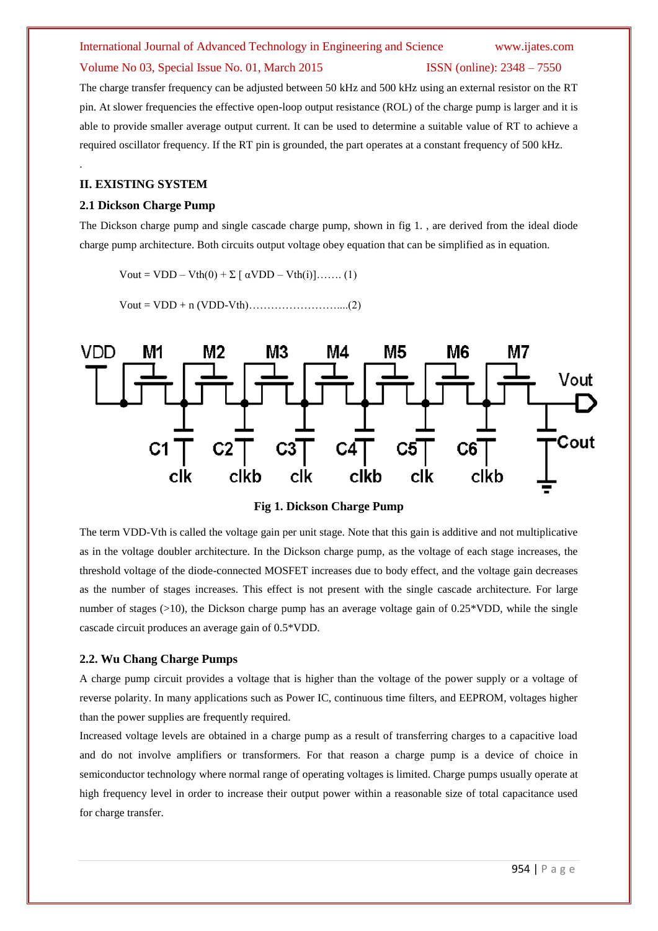## International Journal of Advanced Technology in Engineering and Science www.ijates.com Volume No 03, Special Issue No. 01, March 2015 ISSN (online): 2348 – 7550

The charge transfer frequency can be adjusted between 50 kHz and 500 kHz using an external resistor on the RT pin. At slower frequencies the effective open-loop output resistance (ROL) of the charge pump is larger and it is able to provide smaller average output current. It can be used to determine a suitable value of RT to achieve a required oscillator frequency. If the RT pin is grounded, the part operates at a constant frequency of 500 kHz.

### **II. EXISTING SYSTEM**

.

### **2.1 Dickson Charge Pump**

The Dickson charge pump and single cascade charge pump, shown in fig 1. , are derived from the ideal diode charge pump architecture. Both circuits output voltage obey equation that can be simplified as in equation.

Vout = VDD – Vth $(0)$  +  $\Sigma$  [  $\alpha$ VDD – Vth $(i)$ ]……. (1)

Vout = VDD + n (VDD-Vth)……………………....(2)



**Fig 1. Dickson Charge Pump**

The term VDD-Vth is called the voltage gain per unit stage. Note that this gain is additive and not multiplicative as in the voltage doubler architecture. In the Dickson charge pump, as the voltage of each stage increases, the threshold voltage of the diode-connected MOSFET increases due to body effect, and the voltage gain decreases as the number of stages increases. This effect is not present with the single cascade architecture. For large number of stages (>10), the Dickson charge pump has an average voltage gain of 0.25\*VDD, while the single cascade circuit produces an average gain of 0.5\*VDD.

### **2.2. Wu Chang Charge Pumps**

A charge pump circuit provides a voltage that is higher than the voltage of the power supply or a voltage of reverse polarity. In many applications such as Power IC, continuous time filters, and EEPROM, voltages higher than the power supplies are frequently required.

Increased voltage levels are obtained in a charge pump as a result of transferring charges to a capacitive load and do not involve amplifiers or transformers. For that reason a charge pump is a device of choice in semiconductor technology where normal range of operating voltages is limited. Charge pumps usually operate at high frequency level in order to increase their output power within a reasonable size of total capacitance used for charge transfer.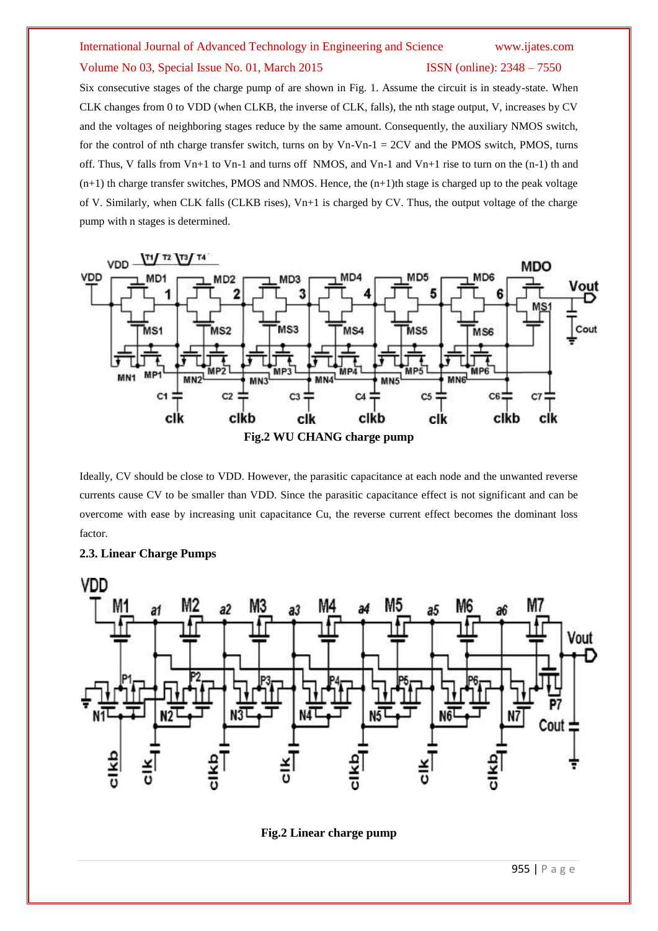# International Journal of Advanced Technology in Engineering and Science www.ijates.com Volume No 03, Special Issue No. 01, March 2015 ISSN (online): 2348 – 7550

Six consecutive stages of the charge pump of are shown in Fig. 1. Assume the circuit is in steady-state. When CLK changes from 0 to VDD (when CLKB, the inverse of CLK, falls), the nth stage output, V, increases by CV and the voltages of neighboring stages reduce by the same amount. Consequently, the auxiliary NMOS switch, for the control of nth charge transfer switch, turns on by  $Vn-Vn-1 = 2CV$  and the PMOS switch, PMOS, turns off. Thus, V falls from Vn+1 to Vn-1 and turns off NMOS, and Vn-1 and Vn+1 rise to turn on the  $(n-1)$  th and  $(n+1)$  th charge transfer switches, PMOS and NMOS. Hence, the  $(n+1)$ th stage is charged up to the peak voltage of V. Similarly, when CLK falls (CLKB rises), Vn+1 is charged by CV. Thus, the output voltage of the charge pump with n stages is determined.



Ideally, CV should be close to VDD. However, the parasitic capacitance at each node and the unwanted reverse currents cause CV to be smaller than VDD. Since the parasitic capacitance effect is not significant and can be overcome with ease by increasing unit capacitance Cu, the reverse current effect becomes the dominant loss factor.





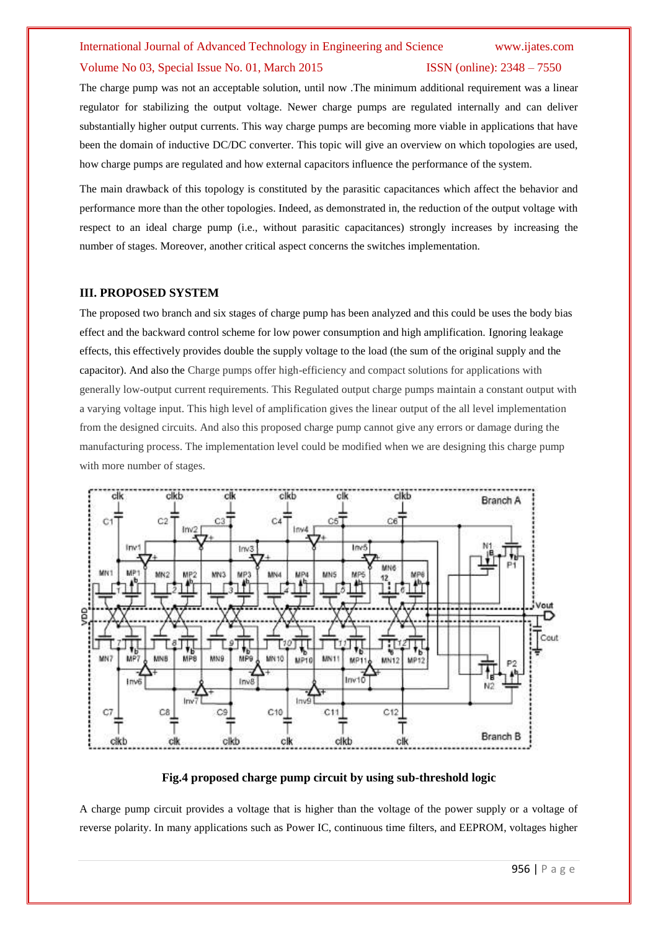### International Journal of Advanced Technology in Engineering and Science www.ijates.com

### Volume No 03, Special Issue No. 01, March 2015 ISSN (online): 2348 – 7550

The charge pump was not an acceptable solution, until now .The minimum additional requirement was a linear regulator for stabilizing the output voltage. Newer charge pumps are regulated internally and can deliver substantially higher output currents. This way charge pumps are becoming more viable in applications that have been the domain of inductive DC/DC converter. This topic will give an overview on which topologies are used, how charge pumps are regulated and how external capacitors influence the performance of the system.

The main drawback of this topology is constituted by the parasitic capacitances which affect the behavior and performance more than the other topologies. Indeed, as demonstrated in, the reduction of the output voltage with respect to an ideal charge pump (i.e., without parasitic capacitances) strongly increases by increasing the number of stages. Moreover, another critical aspect concerns the switches implementation.

### **III. PROPOSED SYSTEM**

The proposed two branch and six stages of charge pump has been analyzed and this could be uses the body bias effect and the backward control scheme for low power consumption and high amplification. Ignoring leakage effects, this effectively provides double the supply voltage to the load (the sum of the original supply and the capacitor). And also the Charge pumps offer high-efficiency and compact solutions for applications with generally low-output current requirements. This Regulated output charge pumps maintain a constant output with a varying voltage input. This high level of amplification gives the linear output of the all level implementation from the designed circuits. And also this proposed charge pump cannot give any errors or damage during the manufacturing process. The implementation level could be modified when we are designing this charge pump with more number of stages.



### **Fig.4 proposed charge pump circuit by using sub-threshold logic**

A charge pump circuit provides a voltage that is higher than the voltage of the power supply or a voltage of reverse polarity. In many applications such as Power IC, continuous time filters, and EEPROM, voltages higher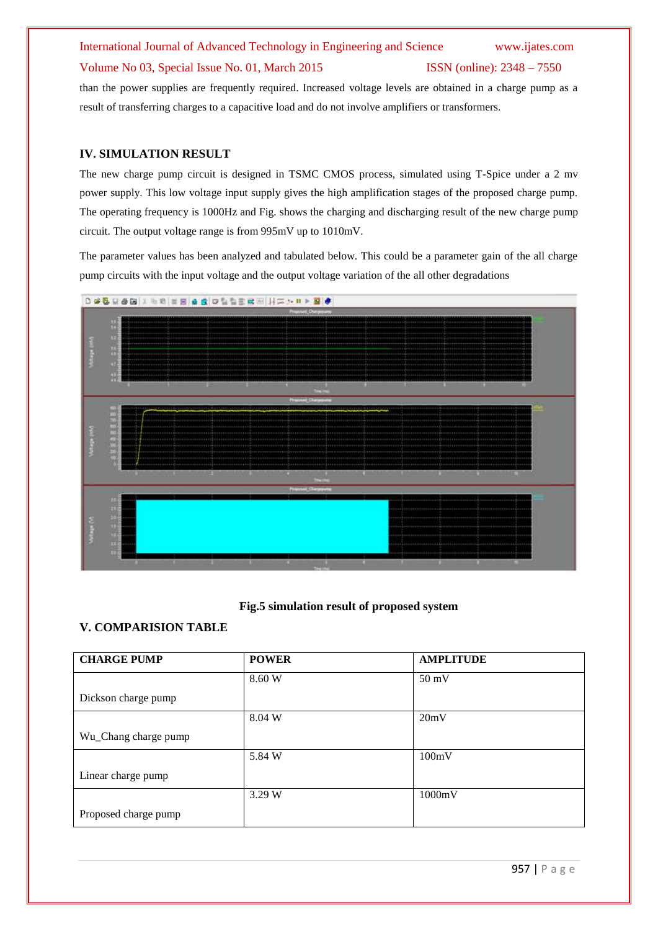# International Journal of Advanced Technology in Engineering and Science www.ijates.com Volume No 03, Special Issue No. 01, March 2015 ISSN (online): 2348 – 7550

than the power supplies are frequently required. Increased voltage levels are obtained in a charge pump as a result of transferring charges to a capacitive load and do not involve amplifiers or transformers.

### **IV. SIMULATION RESULT**

The new charge pump circuit is designed in TSMC CMOS process, simulated using T-Spice under a 2 mv power supply. This low voltage input supply gives the high amplification stages of the proposed charge pump. The operating frequency is 1000Hz and Fig. shows the charging and discharging result of the new charge pump circuit. The output voltage range is from 995mV up to 1010mV.

The parameter values has been analyzed and tabulated below. This could be a parameter gain of the all charge pump circuits with the input voltage and the output voltage variation of the all other degradations



### **Fig.5 simulation result of proposed system**

### **V. COMPARISION TABLE**

| <b>CHARGE PUMP</b>   | <b>POWER</b> | <b>AMPLITUDE</b> |
|----------------------|--------------|------------------|
|                      | 8.60 W       | $50 \text{ mV}$  |
| Dickson charge pump  |              |                  |
|                      | 8.04 W       | 20mV             |
| Wu_Chang charge pump |              |                  |
|                      | 5.84 W       | 100mV            |
| Linear charge pump   |              |                  |
|                      | 3.29 W       | 1000mV           |
| Proposed charge pump |              |                  |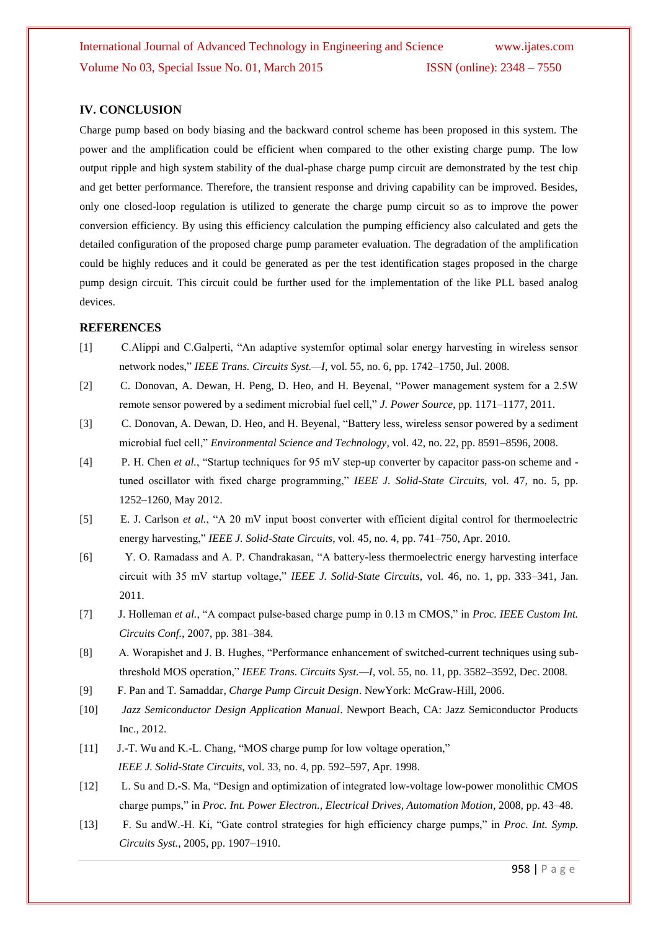### **IV. CONCLUSION**

Charge pump based on body biasing and the backward control scheme has been proposed in this system. The power and the amplification could be efficient when compared to the other existing charge pump. The low output ripple and high system stability of the dual-phase charge pump circuit are demonstrated by the test chip and get better performance. Therefore, the transient response and driving capability can be improved. Besides, only one closed-loop regulation is utilized to generate the charge pump circuit so as to improve the power conversion efficiency. By using this efficiency calculation the pumping efficiency also calculated and gets the detailed configuration of the proposed charge pump parameter evaluation. The degradation of the amplification could be highly reduces and it could be generated as per the test identification stages proposed in the charge pump design circuit. This circuit could be further used for the implementation of the like PLL based analog devices.

### **REFERENCES**

- [1] C.Alippi and C.Galperti, "An adaptive systemfor optimal solar energy harvesting in wireless sensor network nodes," *IEEE Trans. Circuits Syst.—I*, vol. 55, no. 6, pp. 1742–1750, Jul. 2008.
- [2] C. Donovan, A. Dewan, H. Peng, D. Heo, and H. Beyenal, "Power management system for a 2.5W remote sensor powered by a sediment microbial fuel cell," *J. Power Source*, pp. 1171–1177, 2011.
- [3] C. Donovan, A. Dewan, D. Heo, and H. Beyenal, "Battery less, wireless sensor powered by a sediment microbial fuel cell," *Environmental Science and Technology*, vol. 42, no. 22, pp. 8591–8596, 2008.
- [4] P. H. Chen *et al.*, "Startup techniques for 95 mV step-up converter by capacitor pass-on scheme and tuned oscillator with fixed charge programming," *IEEE J. Solid-State Circuits*, vol. 47, no. 5, pp. 1252–1260, May 2012.
- [5] E. J. Carlson *et al.*, "A 20 mV input boost converter with efficient digital control for thermoelectric energy harvesting," *IEEE J. Solid-State Circuits*, vol. 45, no. 4, pp. 741–750, Apr. 2010.
- [6] Y. O. Ramadass and A. P. Chandrakasan, "A battery-less thermoelectric energy harvesting interface circuit with 35 mV startup voltage," *IEEE J. Solid-State Circuits*, vol. 46, no. 1, pp. 333–341, Jan. 2011.
- [7] J. Holleman *et al.*, "A compact pulse-based charge pump in 0.13 m CMOS," in *Proc. IEEE Custom Int. Circuits Conf.*, 2007, pp. 381–384.
- [8] A. Worapishet and J. B. Hughes, "Performance enhancement of switched-current techniques using subthreshold MOS operation," *IEEE Trans. Circuits Syst.—I*, vol. 55, no. 11, pp. 3582–3592, Dec. 2008.
- [9] F. Pan and T. Samaddar*, Charge Pump Circuit Design*. NewYork: McGraw-Hill, 2006.
- [10] *Jazz Semiconductor Design Application Manual*. Newport Beach, CA: Jazz Semiconductor Products Inc., 2012.
- [11] J.-T. Wu and K.-L. Chang, "MOS charge pump for low voltage operation,"  *IEEE J. Solid-State Circuits*, vol. 33, no. 4, pp. 592–597, Apr. 1998.
- [12] L. Su and D.-S. Ma, "Design and optimization of integrated low-voltage low-power monolithic CMOS charge pumps," in *Proc. Int. Power Electron., Electrical Drives, Automation Motion*, 2008, pp. 43–48.
- [13] F. Su andW.-H. Ki, "Gate control strategies for high efficiency charge pumps," in *Proc. Int. Symp. Circuits Syst.*, 2005, pp. 1907–1910.